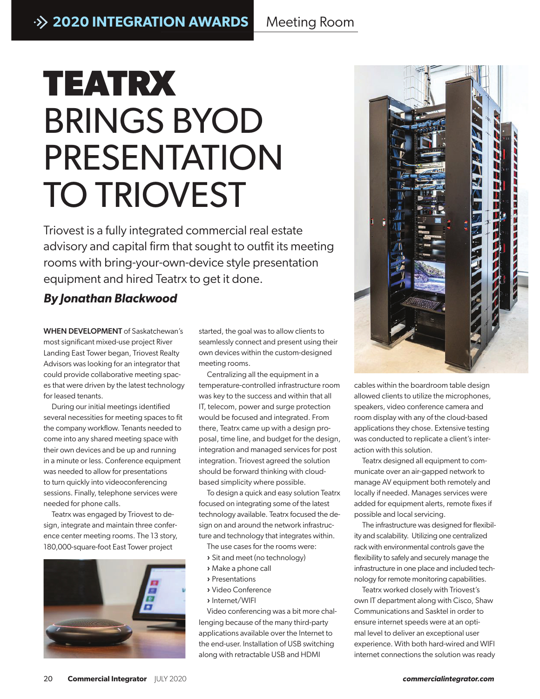## **TEATRX BRINGS** BRINGS BYOD PRESENTATION TO TRIOVEST

Triovest is a fully integrated commercial real estate advisory and capital firm that sought to outfit its meeting rooms with bring-your-own-device style presentation equipment and hired Teatrx to get it done.

## *By Jonathan Blackwood*

WHEN DEVELOPMENT of Saskatchewan's most significant mixed-use project River Landing East Tower began, Triovest Realty Advisors was looking for an integrator that could provide collaborative meeting spaces that were driven by the latest technology for leased tenants.

During our initial meetings identified several necessities for meeting spaces to fit the company workflow. Tenants needed to come into any shared meeting space with their own devices and be up and running in a minute or less. Conference equipment was needed to allow for presentations to turn quickly into videoconferencing sessions. Finally, telephone services were needed for phone calls.

Teatrx was engaged by Triovest to design, integrate and maintain three conference center meeting rooms. The 13 story, 180,000-square-foot East Tower project



started, the goal was to allow clients to seamlessly connect and present using their own devices within the custom-designed meeting rooms.

Centralizing all the equipment in a temperature-controlled infrastructure room was key to the success and within that all IT, telecom, power and surge protection would be focused and integrated. From there, Teatrx came up with a design proposal, time line, and budget for the design, integration and managed services for post integration. Triovest agreed the solution should be forward thinking with cloudbased simplicity where possible.

To design a quick and easy solution Teatrx focused on integrating some of the latest technology available. Teatrx focused the design on and around the network infrastructure and technology that integrates within.

The use cases for the rooms were:

- **›** Sit and meet (no technology)
- **›** Make a phone call
- **›** Presentations
- **›** Video Conference
- **›** Internet/WIFI

Video conferencing was a bit more challenging because of the many third-party applications available over the Internet to the end-user. Installation of USB switching along with retractable USB and HDMI



cables within the boardroom table design allowed clients to utilize the microphones, speakers, video conference camera and room display with any of the cloud-based applications they chose. Extensive testing was conducted to replicate a client's interaction with this solution.

Teatrx designed all equipment to communicate over an air-gapped network to manage AV equipment both remotely and locally if needed. Manages services were added for equipment alerts, remote fixes if possible and local servicing.

The infrastructure was designed for flexibility and scalability. Utilizing one centralized rack with environmental controls gave the flexibility to safely and securely manage the infrastructure in one place and included technology for remote monitoring capabilities.

Teatrx worked closely with Triovest's own IT department along with Cisco, Shaw Communications and Sasktel in order to ensure internet speeds were at an optimal level to deliver an exceptional user experience. With both hard-wired and WIFI internet connections the solution was ready